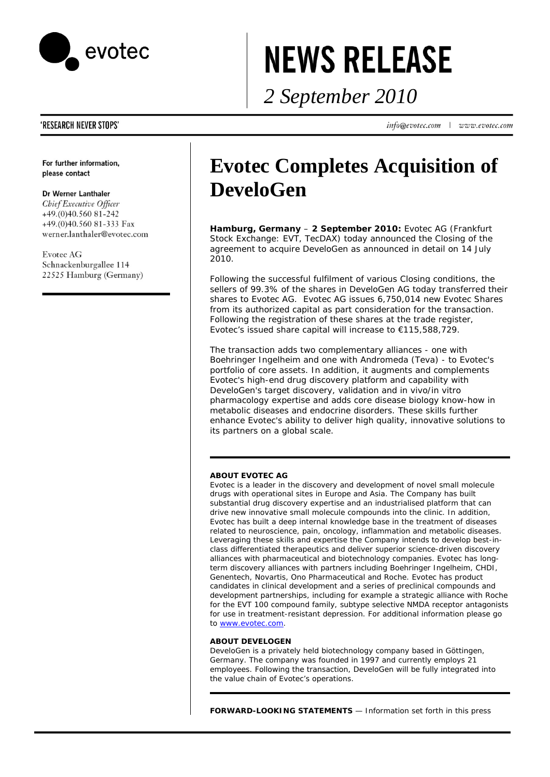

# **NEWS RELEASE**

*2 September 2010* 

info@evotec.com | www.evotec.com

## **'RESEARCH NEVER STOPS'**

For further information, please contact

## Dr Werner Lanthaler

Chief Executive Officer +49.(0)40.560 81-242 +49.(0)40.560 81-333 Fax werner.lanthaler@evotec.com

**Evotec AG** Schnackenburgallee 114 22525 Hamburg (Germany)

## **Evotec Completes Acquisition of DeveloGen**

**Hamburg, Germany** – **2 September 2010:** Evotec AG (Frankfurt Stock Exchange: EVT, TecDAX) today announced the Closing of the agreement to acquire DeveloGen as announced in detail on 14 July 2010.

Following the successful fulfilment of various Closing conditions, the sellers of 99.3% of the shares in DeveloGen AG today transferred their shares to Evotec AG. Evotec AG issues 6,750,014 new Evotec Shares from its authorized capital as part consideration for the transaction. Following the registration of these shares at the trade register, Evotec's issued share capital will increase to €115,588,729.

The transaction adds two complementary alliances - one with Boehringer Ingelheim and one with Andromeda (Teva) - to Evotec's portfolio of core assets. In addition, it augments and complements Evotec's high-end drug discovery platform and capability with DeveloGen's target discovery, validation and *in vivo/in vitro* pharmacology expertise and adds core disease biology know-how in metabolic diseases and endocrine disorders. These skills further enhance Evotec's ability to deliver high quality, innovative solutions to its partners on a global scale.

## **ABOUT EVOTEC AG**

Evotec is a leader in the discovery and development of novel small molecule drugs with operational sites in Europe and Asia. The Company has built substantial drug discovery expertise and an industrialised platform that can drive new innovative small molecule compounds into the clinic. In addition, Evotec has built a deep internal knowledge base in the treatment of diseases related to neuroscience, pain, oncology, inflammation and metabolic diseases. Leveraging these skills and expertise the Company intends to develop best-inclass differentiated therapeutics and deliver superior science-driven discovery alliances with pharmaceutical and biotechnology companies. Evotec has longterm discovery alliances with partners including Boehringer Ingelheim, CHDI, Genentech, Novartis, Ono Pharmaceutical and Roche. Evotec has product candidates in clinical development and a series of preclinical compounds and development partnerships, including for example a strategic alliance with Roche for the EVT 100 compound family, subtype selective NMDA receptor antagonists for use in treatment-resistant depression. For additional information please go to www.evotec.com.

## **ABOUT DEVELOGEN**

DeveloGen is a privately held biotechnology company based in Göttingen, Germany. The company was founded in 1997 and currently employs 21 employees. Following the transaction, DeveloGen will be fully integrated into the value chain of Evotec's operations.

*FORWARD-LOOKING STATEMENTS — Information set forth in this press*